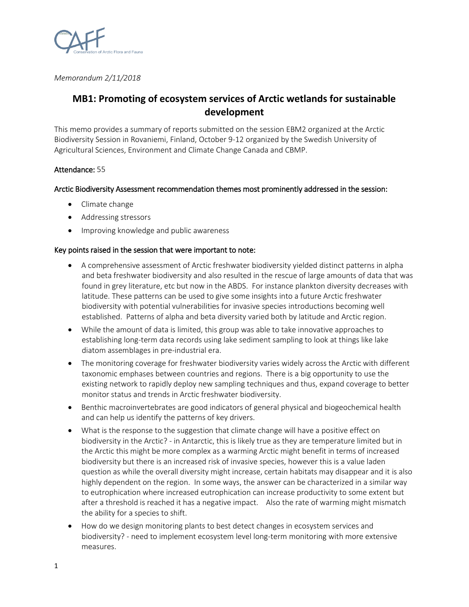

*Memorandum 2/11/2018*

# **MB1: Promoting of ecosystem services of Arctic wetlands for sustainable development**

This memo provides a summary of reports submitted on the session EBM2 organized at the Arctic Biodiversity Session in Rovaniemi, Finland, October 9-12 organized by the Swedish University of Agricultural Sciences, Environment and Climate Change Canada and CBMP.

# Attendance: 55

# Arctic Biodiversity Assessment recommendation themes most prominently addressed in the session:

- Climate change
- Addressing stressors
- Improving knowledge and public awareness

### Key points raised in the session that were important to note:

- A comprehensive assessment of Arctic freshwater biodiversity yielded distinct patterns in alpha and beta freshwater biodiversity and also resulted in the rescue of large amounts of data that was found in grey literature, etc but now in the ABDS. For instance plankton diversity decreases with latitude. These patterns can be used to give some insights into a future Arctic freshwater biodiversity with potential vulnerabilities for invasive species introductions becoming well established. Patterns of alpha and beta diversity varied both by latitude and Arctic region.
- While the amount of data is limited, this group was able to take innovative approaches to establishing long-term data records using lake sediment sampling to look at things like lake diatom assemblages in pre-industrial era.
- The monitoring coverage for freshwater biodiversity varies widely across the Arctic with different taxonomic emphases between countries and regions. There is a big opportunity to use the existing network to rapidly deploy new sampling techniques and thus, expand coverage to better monitor status and trends in Arctic freshwater biodiversity.
- Benthic macroinvertebrates are good indicators of general physical and biogeochemical health and can help us identify the patterns of key drivers.
- What is the response to the suggestion that climate change will have a positive effect on biodiversity in the Arctic? - in Antarctic, this is likely true as they are temperature limited but in the Arctic this might be more complex as a warming Arctic might benefit in terms of increased biodiversity but there is an increased risk of invasive species, however this is a value laden question as while the overall diversity might increase, certain habitats may disappear and it is also highly dependent on the region. In some ways, the answer can be characterized in a similar way to eutrophication where increased eutrophication can increase productivity to some extent but after a threshold is reached it has a negative impact. Also the rate of warming might mismatch the ability for a species to shift.
- How do we design monitoring plants to best detect changes in ecosystem services and biodiversity? - need to implement ecosystem level long-term monitoring with more extensive measures.